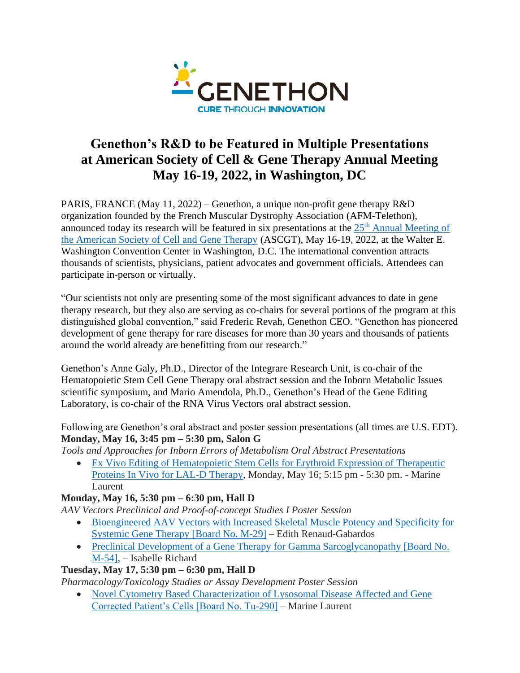

# **Genethon's R&D to be Featured in Multiple Presentations at American Society of Cell & Gene Therapy Annual Meeting May 16-19, 2022, in Washington, DC**

PARIS, FRANCE (May 11, 2022) – Genethon, a unique non-profit gene therapy R&D organization founded by the French Muscular Dystrophy Association (AFM-Telethon), announced today its research will be featured in six presentations at the  $25<sup>th</sup>$  Annual Meeting of [the American Society of Cell and Gene Therapy](https://annualmeeting.asgct.org/) (ASCGT), May 16-19, 2022, at the Walter E. Washington Convention Center in Washington, D.C. The international convention attracts thousands of scientists, physicians, patient advocates and government officials. Attendees can participate in-person or virtually.

"Our scientists not only are presenting some of the most significant advances to date in gene therapy research, but they also are serving as co-chairs for several portions of the program at this distinguished global convention," said Frederic Revah, Genethon CEO. "Genethon has pioneered development of gene therapy for rare diseases for more than 30 years and thousands of patients around the world already are benefitting from our research."

Genethon's Anne Galy, Ph.D., Director of the Integrare Research Unit, is co-chair of the Hematopoietic Stem Cell Gene Therapy oral abstract session and the Inborn Metabolic Issues scientific symposium, and Mario Amendola, Ph.D., Genethon's Head of the Gene Editing Laboratory, is co-chair of the RNA Virus Vectors oral abstract session.

Following are Genethon's oral abstract and poster session presentations (all times are U.S. EDT). **Monday, May 16, 3:45 pm – 5:30 pm, Salon G**

*Tools and Approaches for Inborn Errors of Metabolism Oral Abstract Presentations*

• [Ex Vivo Editing of Hematopoietic Stem Cells for Erythroid Expression of Therapeutic](https://annualmeeting.asgct.org/program/agenda-details?agendaId=20945)  [Proteins In Vivo for LAL-D Therapy,](https://annualmeeting.asgct.org/program/agenda-details?agendaId=20945) Monday, May 16; 5:15 pm - 5:30 pm. - Marine Laurent

## **Monday, May 16, 5:30 pm – 6:30 pm, Hall D**

*AAV Vectors Preclinical and Proof-of-concept Studies I Poster Session*

- [Bioengineered AAV Vectors with Increased Skeletal Muscle Potency and Specificity for](https://annualmeeting.asgct.org/program/agenda-details?agendaId=19925)  [Systemic Gene Therapy \[Board No. M-29\]](https://annualmeeting.asgct.org/program/agenda-details?agendaId=19925) – Edith Renaud-Gabardos
- Preclinical Development of a Gene Therapy for Gamma Sarcoglycanopathy [Board No.] [M-54\],](https://annualmeeting.asgct.org/program/agenda-details?agendaId=19334) – Isabelle Richard

## **Tuesday, May 17, 5:30 pm – 6:30 pm, Hall D**

*Pharmacology/Toxicology Studies or Assay Development Poster Session*

• Novel Cytometry Based Characterization of Lysosomal Disease Affected and Gene [Corrected Patient's Cells \[Board No. Tu-290\]](https://annualmeeting.asgct.org/program/agenda-details?agendaId=20589) – Marine Laurent